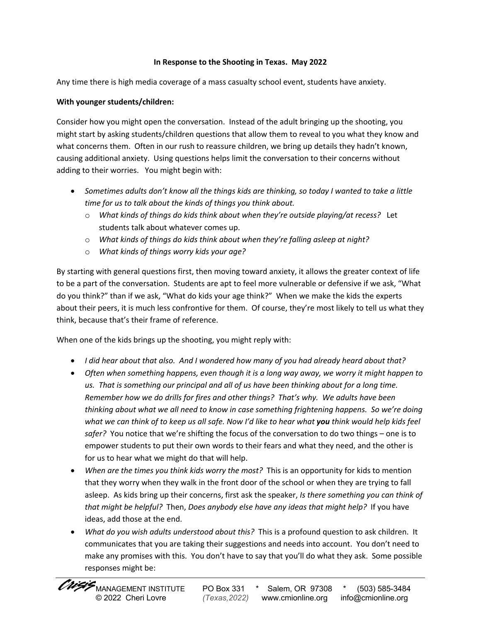## **In Response to the Shooting in Texas. May 2022**

Any time there is high media coverage of a mass casualty school event, students have anxiety.

## **With younger students/children:**

Consider how you might open the conversation. Instead of the adult bringing up the shooting, you might start by asking students/children questions that allow them to reveal to you what they know and what concerns them. Often in our rush to reassure children, we bring up details they hadn't known, causing additional anxiety. Using questions helps limit the conversation to their concerns without adding to their worries. You might begin with:

- *Sometimes adults don't know all the things kids are thinking, so today I wanted to take a little time for us to talk about the kinds of things you think about.* 
	- o *What kinds of things do kids think about when they're outside playing/at recess?* Let students talk about whatever comes up.
	- o *What kinds of things do kids think about when they're falling asleep at night?*
	- o *What kinds of things worry kids your age?*

By starting with general questions first, then moving toward anxiety, it allows the greater context of life to be a part of the conversation. Students are apt to feel more vulnerable or defensive if we ask, "What do you think?" than if we ask, "What do kids your age think?" When we make the kids the experts about their peers, it is much less confrontive for them. Of course, they're most likely to tell us what they think, because that's their frame of reference.

When one of the kids brings up the shooting, you might reply with:

- *I did hear about that also. And I wondered how many of you had already heard about that?*
- *Often when something happens, even though it is a long way away, we worry it might happen to us. That is something our principal and all of us have been thinking about for a long time. Remember how we do drills for fires and other things? That's why. We adults have been thinking about what we all need to know in case something frightening happens. So we're doing what we can think of to keep us all safe. Now I'd like to hear what you think would help kids feel safer?* You notice that we're shifting the focus of the conversation to do two things – one is to empower students to put their own words to their fears and what they need, and the other is for us to hear what we might do that will help.
- *When are the times you think kids worry the most?* This is an opportunity for kids to mention that they worry when they walk in the front door of the school or when they are trying to fall asleep. As kids bring up their concerns, first ask the speaker, *Is there something you can think of that might be helpful?* Then, *Does anybody else have any ideas that might help?* If you have ideas, add those at the end.
- *What do you wish adults understood about this?* This is a profound question to ask children. It communicates that you are taking their suggestions and needs into account. You don't need to make any promises with this. You don't have to say that you'll do what they ask. Some possible responses might be: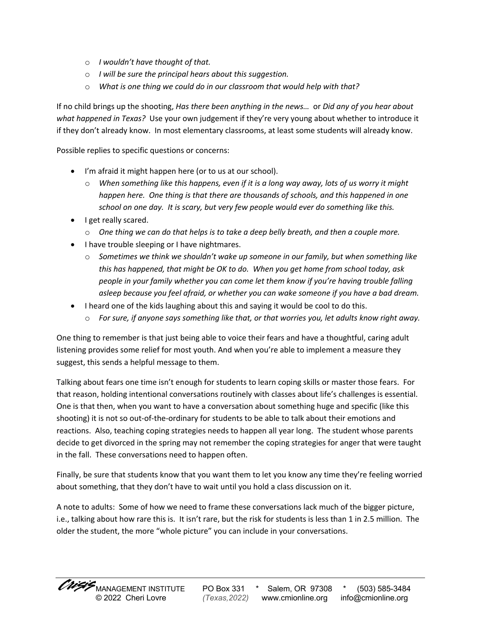- o *I wouldn't have thought of that.*
- o *I will be sure the principal hears about this suggestion.*
- o *What is one thing we could do in our classroom that would help with that?*

If no child brings up the shooting, *Has there been anything in the news…* or *Did any of you hear about what happened in Texas?* Use your own judgement if they're very young about whether to introduce it if they don't already know. In most elementary classrooms, at least some students will already know.

Possible replies to specific questions or concerns:

- I'm afraid it might happen here (or to us at our school).
	- o *When something like this happens, even if it is a long way away, lots of us worry it might happen here. One thing is that there are thousands of schools, and this happened in one school on one day. It is scary, but very few people would ever do something like this.*
- I get really scared.
	- o *One thing we can do that helps is to take a deep belly breath, and then a couple more.*
- I have trouble sleeping or I have nightmares.
	- o *Sometimes we think we shouldn't wake up someone in our family, but when something like this has happened, that might be OK to do. When you get home from school today, ask people in your family whether you can come let them know if you're having trouble falling asleep because you feel afraid, or whether you can wake someone if you have a bad dream.*
- I heard one of the kids laughing about this and saying it would be cool to do this.
	- o *For sure, if anyone says something like that, or that worries you, let adults know right away.*

One thing to remember is that just being able to voice their fears and have a thoughtful, caring adult listening provides some relief for most youth. And when you're able to implement a measure they suggest, this sends a helpful message to them.

Talking about fears one time isn't enough for students to learn coping skills or master those fears. For that reason, holding intentional conversations routinely with classes about life's challenges is essential. One is that then, when you want to have a conversation about something huge and specific (like this shooting) it is not so out-of-the-ordinary for students to be able to talk about their emotions and reactions. Also, teaching coping strategies needs to happen all year long. The student whose parents decide to get divorced in the spring may not remember the coping strategies for anger that were taught in the fall. These conversations need to happen often.

Finally, be sure that students know that you want them to let you know any time they're feeling worried about something, that they don't have to wait until you hold a class discussion on it.

A note to adults: Some of how we need to frame these conversations lack much of the bigger picture, i.e., talking about how rare this is. It isn't rare, but the risk for students is less than 1 in 2.5 million. The older the student, the more "whole picture" you can include in your conversations.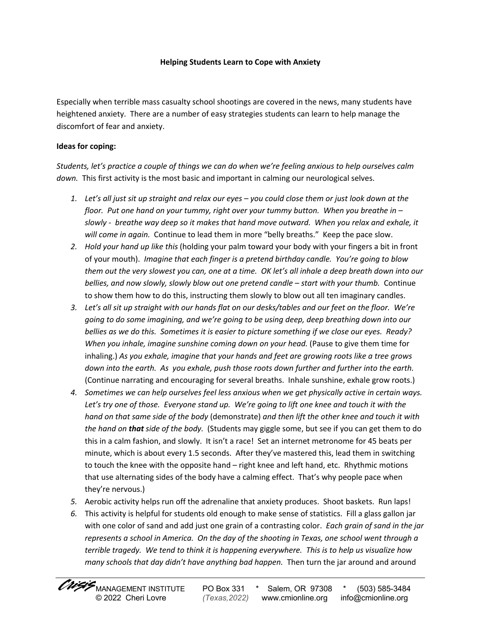#### **Helping Students Learn to Cope with Anxiety**

Especially when terrible mass casualty school shootings are covered in the news, many students have heightened anxiety. There are a number of easy strategies students can learn to help manage the discomfort of fear and anxiety.

### **Ideas for coping:**

*Students, let's practice a couple of things we can do when we're feeling anxious to help ourselves calm down.* This first activity is the most basic and important in calming our neurological selves.

- *1. Let's all just sit up straight and relax our eyes – you could close them or just look down at the floor. Put one hand on your tummy, right over your tummy button. When you breathe in – slowly - breathe way deep so it makes that hand move outward. When you relax and exhale, it will come in again.* Continue to lead them in more "belly breaths." Keep the pace slow.
- *2. Hold your hand up like this* (holding your palm toward your body with your fingers a bit in front of your mouth). *Imagine that each finger is a pretend birthday candle. You're going to blow them out the very slowest you can, one at a time. OK let's all inhale a deep breath down into our bellies, and now slowly, slowly blow out one pretend candle – start with your thumb.* Continue to show them how to do this, instructing them slowly to blow out all ten imaginary candles.
- *3. Let's all sit up straight with our hands flat on our desks/tables and our feet on the floor. We're going to do some imagining, and we're going to be using deep, deep breathing down into our bellies as we do this. Sometimes it is easier to picture something if we close our eyes. Ready? When you inhale, imagine sunshine coming down on your head.* (Pause to give them time for inhaling.) *As you exhale, imagine that your hands and feet are growing roots like a tree grows down into the earth. As you exhale, push those roots down further and further into the earth.*  (Continue narrating and encouraging for several breaths. Inhale sunshine, exhale grow roots.)
- *4. Sometimes we can help ourselves feel less anxious when we get physically active in certain ways. Let's try one of those. Everyone stand up. We're going to lift one knee and touch it with the hand on that same side of the body* (demonstrate) *and then lift the other knee and touch it with the hand on that side of the body.* (Students may giggle some, but see if you can get them to do this in a calm fashion, and slowly. It isn't a race! Set an internet metronome for 45 beats per minute, which is about every 1.5 seconds. After they've mastered this, lead them in switching to touch the knee with the opposite hand – right knee and left hand, etc. Rhythmic motions that use alternating sides of the body have a calming effect. That's why people pace when they're nervous.)
- *5.* Aerobic activity helps run off the adrenaline that anxiety produces. Shoot baskets. Run laps!
- *6.* This activity is helpful for students old enough to make sense of statistics. Fill a glass gallon jar with one color of sand and add just one grain of a contrasting color. *Each grain of sand in the jar represents a school in America. On the day of the shooting in Texas, one school went through a terrible tragedy. We tend to think it is happening everywhere. This is to help us visualize how many schools that day didn't have anything bad happen.* Then turn the jar around and around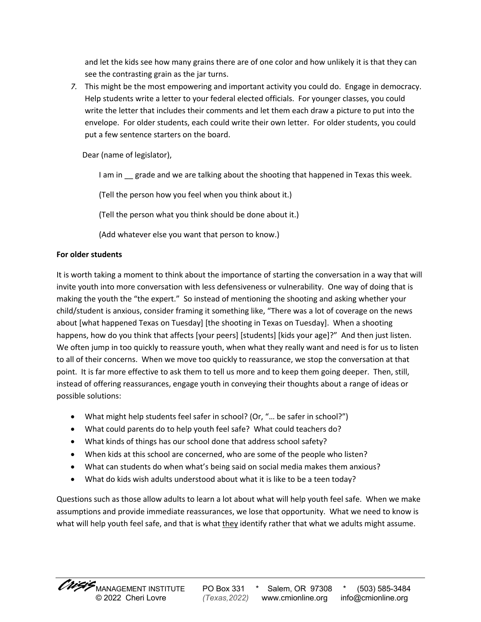and let the kids see how many grains there are of one color and how unlikely it is that they can see the contrasting grain as the jar turns.

*7.* This might be the most empowering and important activity you could do. Engage in democracy. Help students write a letter to your federal elected officials. For younger classes, you could write the letter that includes their comments and let them each draw a picture to put into the envelope. For older students, each could write their own letter. For older students, you could put a few sentence starters on the board.

Dear (name of legislator),

I am in grade and we are talking about the shooting that happened in Texas this week.

(Tell the person how you feel when you think about it.)

(Tell the person what you think should be done about it.)

(Add whatever else you want that person to know.)

# **For older students**

It is worth taking a moment to think about the importance of starting the conversation in a way that will invite youth into more conversation with less defensiveness or vulnerability. One way of doing that is making the youth the "the expert." So instead of mentioning the shooting and asking whether your child/student is anxious, consider framing it something like, "There was a lot of coverage on the news about [what happened Texas on Tuesday] [the shooting in Texas on Tuesday]. When a shooting happens, how do you think that affects [your peers] [students] [kids your age]?" And then just listen. We often jump in too quickly to reassure youth, when what they really want and need is for us to listen to all of their concerns. When we move too quickly to reassurance, we stop the conversation at that point. It is far more effective to ask them to tell us more and to keep them going deeper. Then, still, instead of offering reassurances, engage youth in conveying their thoughts about a range of ideas or possible solutions:

- What might help students feel safer in school? (Or, "... be safer in school?")
- What could parents do to help youth feel safe? What could teachers do?
- What kinds of things has our school done that address school safety?
- When kids at this school are concerned, who are some of the people who listen?
- What can students do when what's being said on social media makes them anxious?
- What do kids wish adults understood about what it is like to be a teen today?

Questions such as those allow adults to learn a lot about what will help youth feel safe. When we make assumptions and provide immediate reassurances, we lose that opportunity. What we need to know is what will help youth feel safe, and that is what they identify rather that what we adults might assume.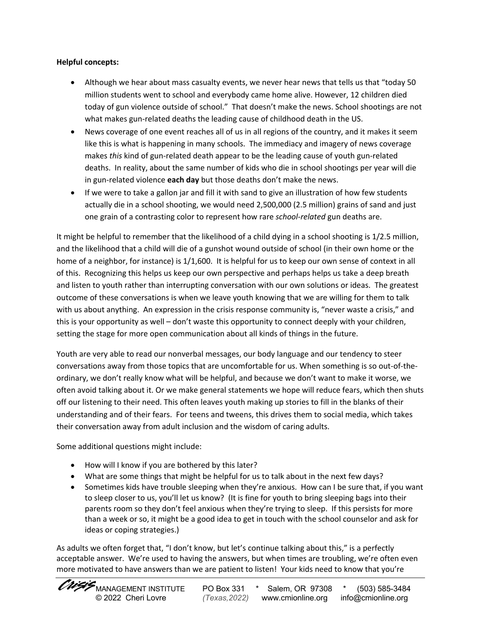## **Helpful concepts:**

- Although we hear about mass casualty events, we never hear news that tells us that "today 50 million students went to school and everybody came home alive. However, 12 children died today of gun violence outside of school." That doesn't make the news. School shootings are not what makes gun-related deaths the leading cause of childhood death in the US.
- News coverage of one event reaches all of us in all regions of the country, and it makes it seem like this is what is happening in many schools. The immediacy and imagery of news coverage makes *this* kind of gun-related death appear to be the leading cause of youth gun-related deaths. In reality, about the same number of kids who die in school shootings per year will die in gun-related violence **each day** but those deaths don't make the news.
- If we were to take a gallon jar and fill it with sand to give an illustration of how few students actually die in a school shooting, we would need 2,500,000 (2.5 million) grains of sand and just one grain of a contrasting color to represent how rare *school-related* gun deaths are.

It might be helpful to remember that the likelihood of a child dying in a school shooting is 1/2.5 million, and the likelihood that a child will die of a gunshot wound outside of school (in their own home or the home of a neighbor, for instance) is 1/1,600. It is helpful for us to keep our own sense of context in all of this. Recognizing this helps us keep our own perspective and perhaps helps us take a deep breath and listen to youth rather than interrupting conversation with our own solutions or ideas. The greatest outcome of these conversations is when we leave youth knowing that we are willing for them to talk with us about anything. An expression in the crisis response community is, "never waste a crisis," and this is your opportunity as well – don't waste this opportunity to connect deeply with your children, setting the stage for more open communication about all kinds of things in the future.

Youth are very able to read our nonverbal messages, our body language and our tendency to steer conversations away from those topics that are uncomfortable for us. When something is so out-of-theordinary, we don't really know what will be helpful, and because we don't want to make it worse, we often avoid talking about it. Or we make general statements we hope will reduce fears, which then shuts off our listening to their need. This often leaves youth making up stories to fill in the blanks of their understanding and of their fears. For teens and tweens, this drives them to social media, which takes their conversation away from adult inclusion and the wisdom of caring adults.

Some additional questions might include:

- How will I know if you are bothered by this later?
- What are some things that might be helpful for us to talk about in the next few days?
- Sometimes kids have trouble sleeping when they're anxious. How can I be sure that, if you want to sleep closer to us, you'll let us know? (It is fine for youth to bring sleeping bags into their parents room so they don't feel anxious when they're trying to sleep. If this persists for more than a week or so, it might be a good idea to get in touch with the school counselor and ask for ideas or coping strategies.)

As adults we often forget that, "I don't know, but let's continue talking about this," is a perfectly acceptable answer. We're used to having the answers, but when times are troubling, we're often even more motivated to have answers than we are patient to listen! Your kids need to know that you're